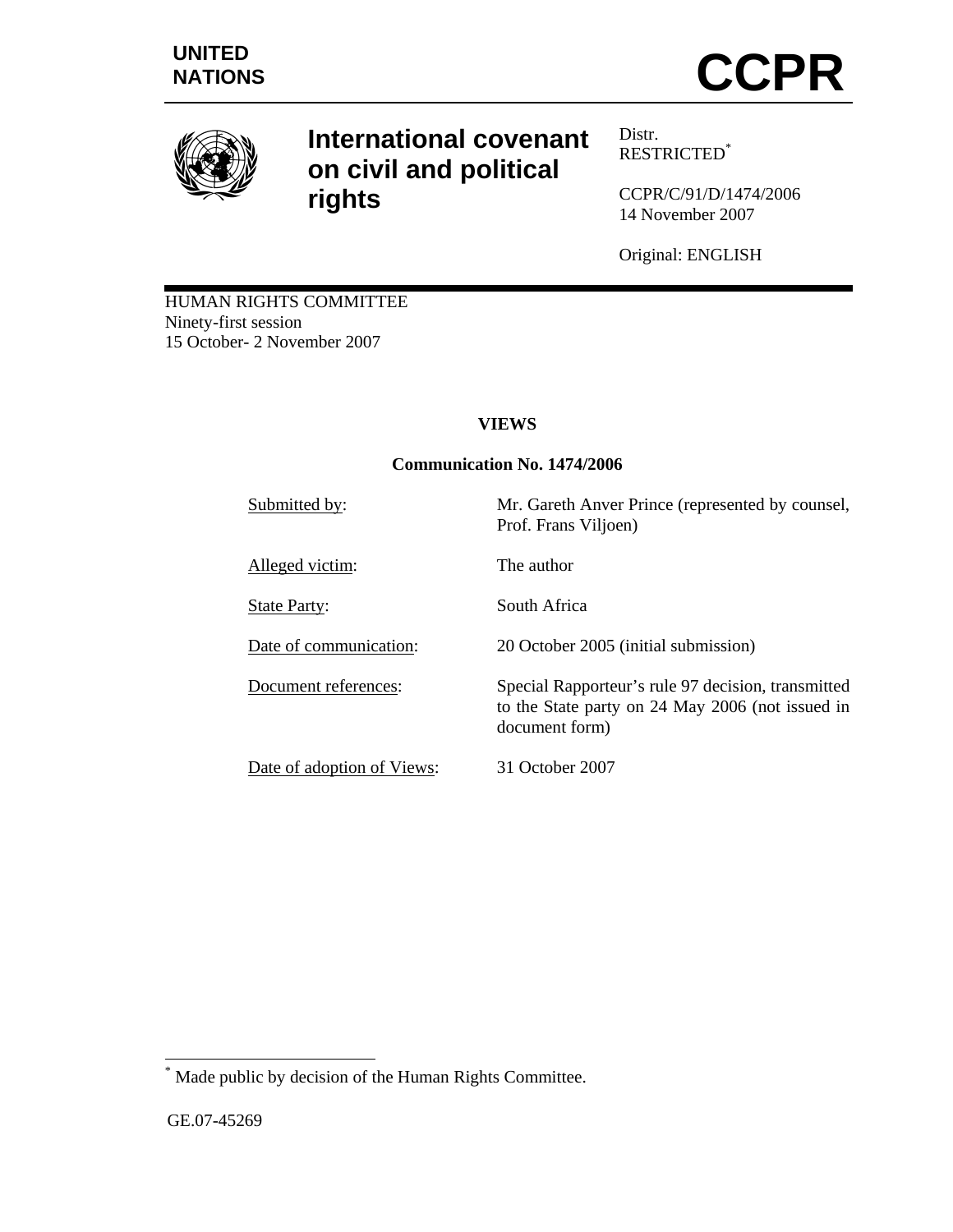

# **International covenant on civil and political rights**

Distr. RESTRICTED\*

CCPR/C/91/D/1474/2006 14 November 2007

Original: ENGLISH

HUMAN RIGHTS COMMITTEE Ninety-first session 15 October- 2 November 2007

## **VIEWS**

## **Communication No. 1474/2006**

Submitted by: Mr. Gareth Anver Prince (represented by counsel, Prof. Frans Viljoen) Alleged victim: The author State Party: South Africa Date of communication: 20 October 2005 (initial submission) Document references: Special Rapporteur's rule 97 decision, transmitted to the State party on 24 May 2006 (not issued in document form) Date of adoption of Views: 31 October 2007

\* Made public by decision of the Human Rights Committee.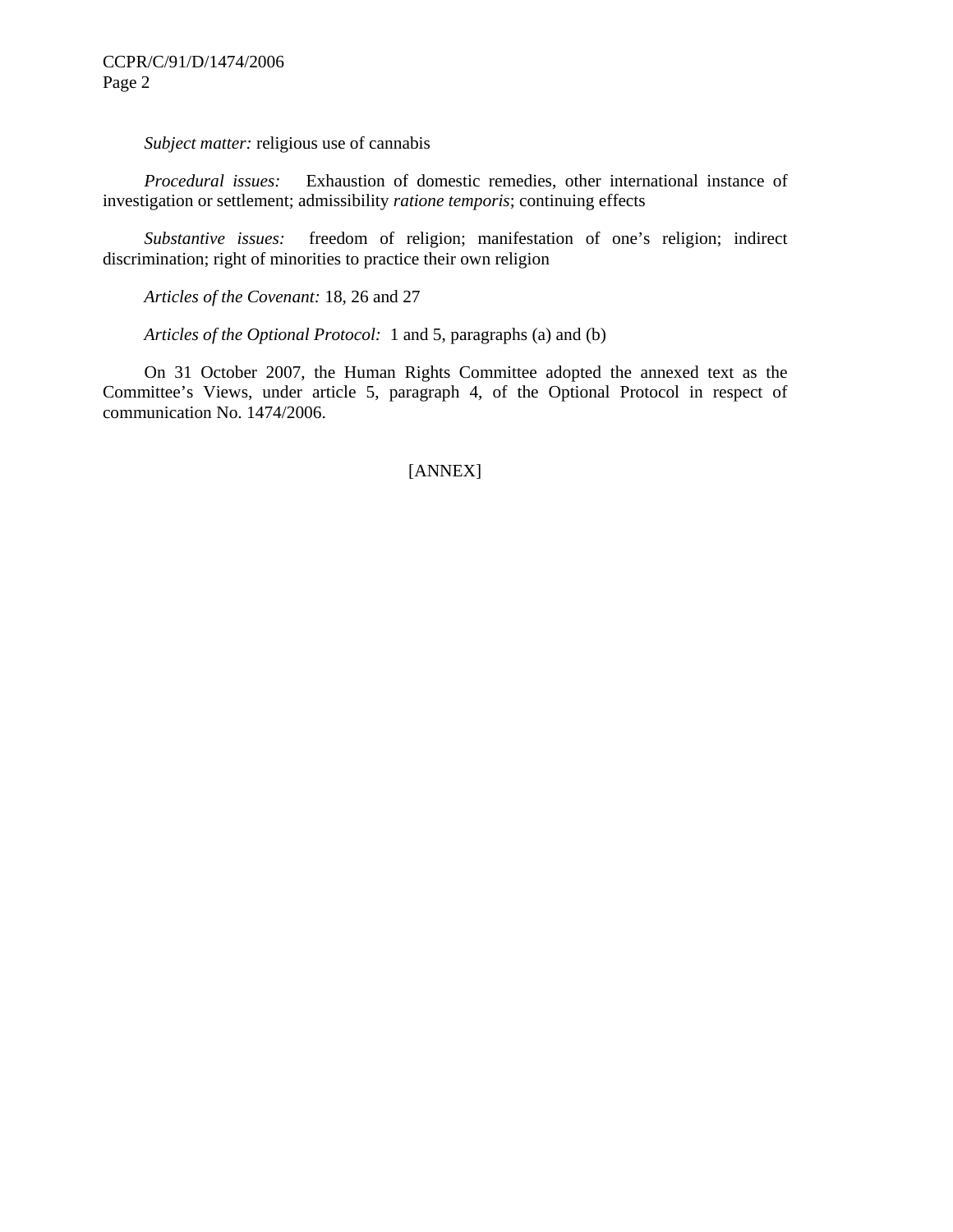*Subject matter:* religious use of cannabis

 *Procedural issues:* Exhaustion of domestic remedies, other international instance of investigation or settlement; admissibility *ratione temporis*; continuing effects

 *Substantive issues:* freedom of religion; manifestation of one's religion; indirect discrimination; right of minorities to practice their own religion

 *Articles of the Covenant:* 18, 26 and 27

 *Articles of the Optional Protocol:* 1 and 5, paragraphs (a) and (b)

 On 31 October 2007, the Human Rights Committee adopted the annexed text as the Committee's Views, under article 5, paragraph 4, of the Optional Protocol in respect of communication No. 1474/2006.

#### [ANNEX]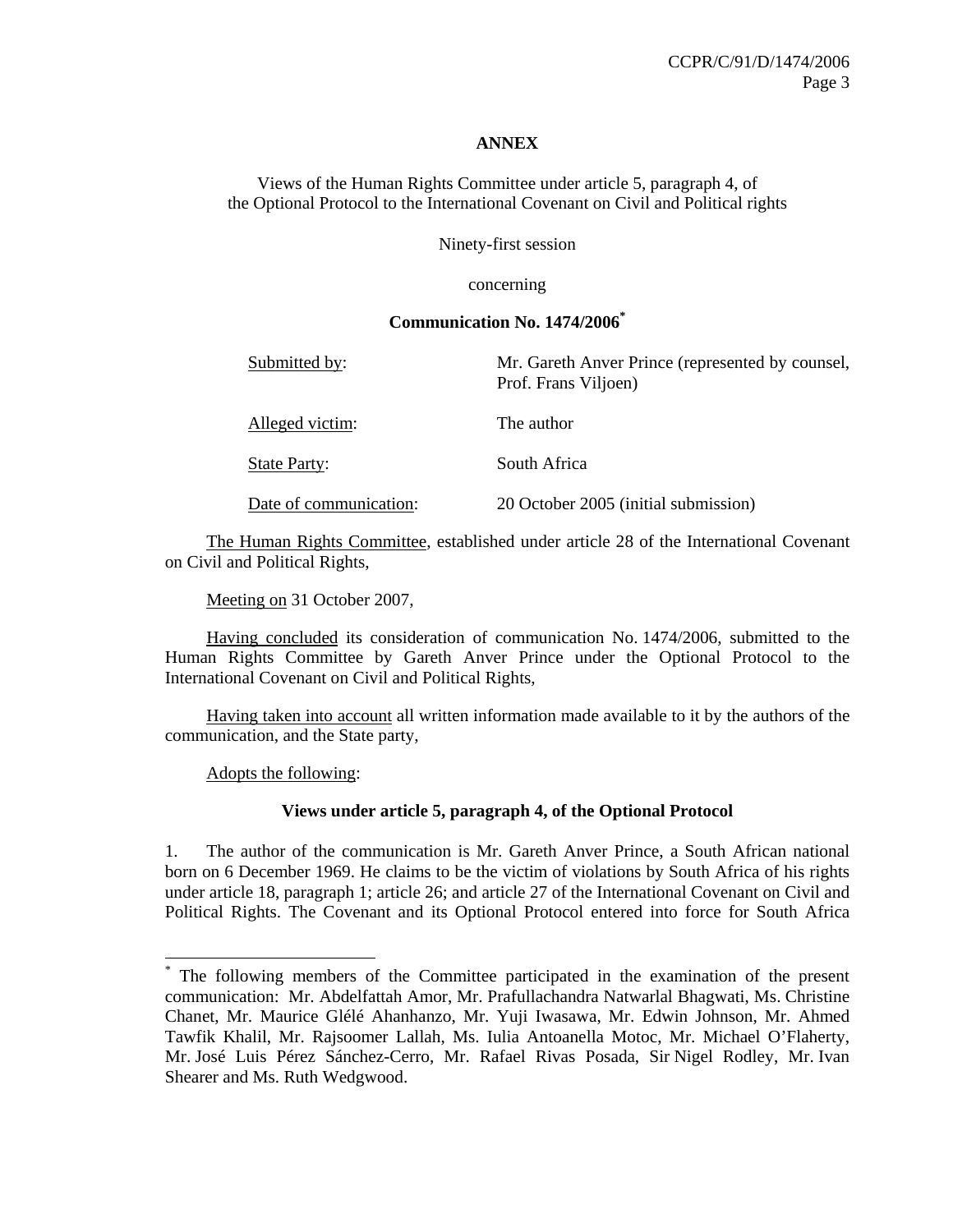#### **ANNEX**

Views of the Human Rights Committee under article 5, paragraph 4, of the Optional Protocol to the International Covenant on Civil and Political rights

Ninety-first session

concerning

#### **Communication No. 1474/2006\***

Submitted by: Mr. Gareth Anver Prince (represented by counsel, Prof. Frans Viljoen) Alleged victim: The author State Party: South Africa Date of communication: 20 October 2005 (initial submission)

 The Human Rights Committee, established under article 28 of the International Covenant on Civil and Political Rights,

Meeting on 31 October 2007,

 Having concluded its consideration of communication No. 1474/2006, submitted to the Human Rights Committee by Gareth Anver Prince under the Optional Protocol to the International Covenant on Civil and Political Rights,

 Having taken into account all written information made available to it by the authors of the communication, and the State party,

Adopts the following:

 $\overline{a}$ 

#### **Views under article 5, paragraph 4, of the Optional Protocol**

1. The author of the communication is Mr. Gareth Anver Prince, a South African national born on 6 December 1969. He claims to be the victim of violations by South Africa of his rights under article 18, paragraph 1; article 26; and article 27 of the International Covenant on Civil and Political Rights. The Covenant and its Optional Protocol entered into force for South Africa

<sup>\*</sup> The following members of the Committee participated in the examination of the present communication: Mr. Abdelfattah Amor, Mr. Prafullachandra Natwarlal Bhagwati, Ms. Christine Chanet, Mr. Maurice Glélé Ahanhanzo, Mr. Yuji Iwasawa, Mr. Edwin Johnson, Mr. Ahmed Tawfik Khalil, Mr. Rajsoomer Lallah, Ms. Iulia Antoanella Motoc, Mr. Michael O'Flaherty, Mr. José Luis Pérez Sánchez-Cerro, Mr. Rafael Rivas Posada, Sir Nigel Rodley, Mr. Ivan Shearer and Ms. Ruth Wedgwood.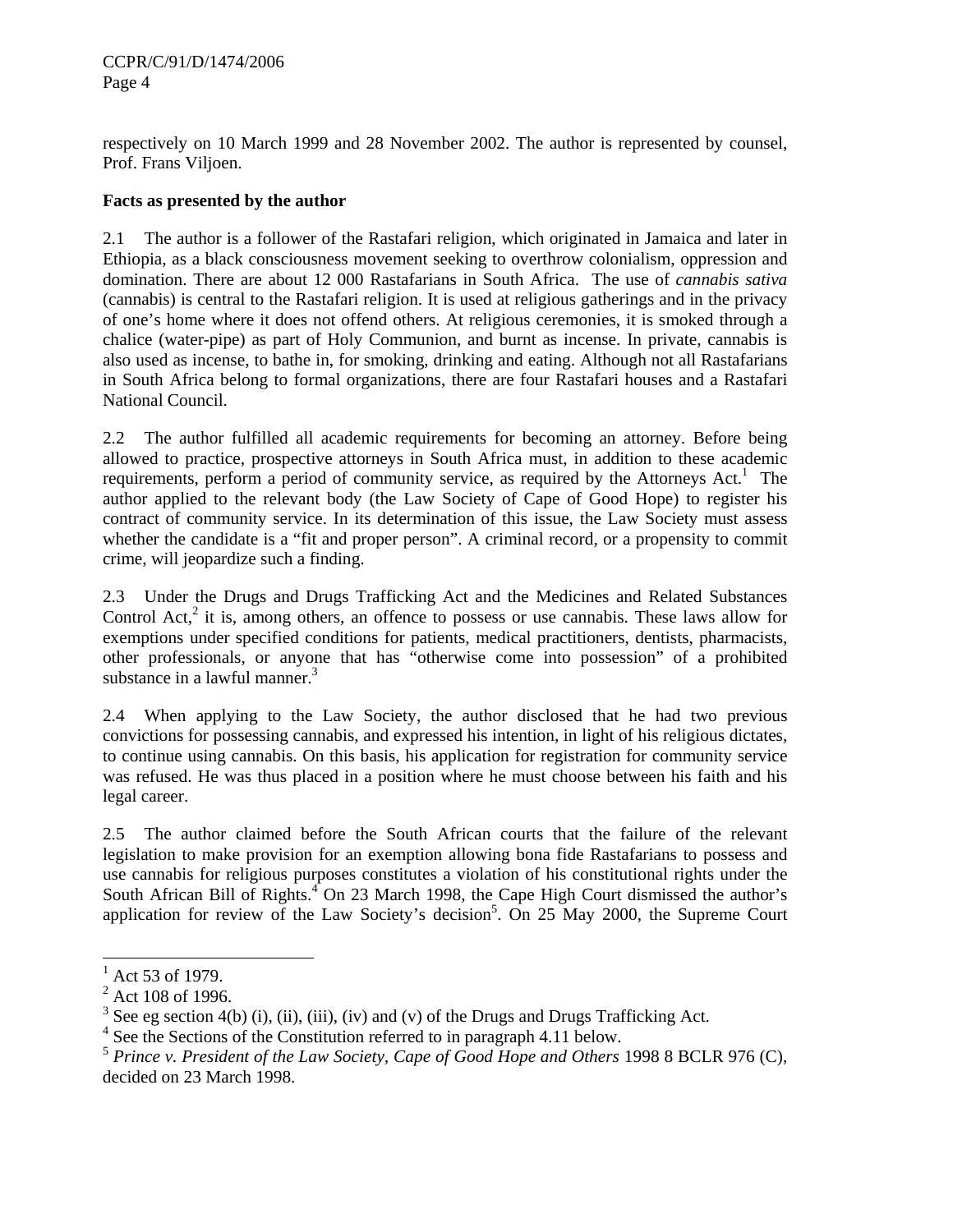respectively on 10 March 1999 and 28 November 2002. The author is represented by counsel, Prof. Frans Viljoen.

## **Facts as presented by the author**

2.1 The author is a follower of the Rastafari religion, which originated in Jamaica and later in Ethiopia, as a black consciousness movement seeking to overthrow colonialism, oppression and domination. There are about 12 000 Rastafarians in South Africa. The use of *cannabis sativa* (cannabis) is central to the Rastafari religion. It is used at religious gatherings and in the privacy of one's home where it does not offend others. At religious ceremonies, it is smoked through a chalice (water-pipe) as part of Holy Communion, and burnt as incense. In private, cannabis is also used as incense, to bathe in, for smoking, drinking and eating. Although not all Rastafarians in South Africa belong to formal organizations, there are four Rastafari houses and a Rastafari National Council.

2.2 The author fulfilled all academic requirements for becoming an attorney. Before being allowed to practice, prospective attorneys in South Africa must, in addition to these academic requirements, perform a period of community service, as required by the Attorneys Act.<sup>1</sup> The author applied to the relevant body (the Law Society of Cape of Good Hope) to register his contract of community service. In its determination of this issue, the Law Society must assess whether the candidate is a "fit and proper person". A criminal record, or a propensity to commit crime, will jeopardize such a finding.

2.3 Under the Drugs and Drugs Trafficking Act and the Medicines and Related Substances Control Act, $2$  it is, among others, an offence to possess or use cannabis. These laws allow for exemptions under specified conditions for patients, medical practitioners, dentists, pharmacists, other professionals, or anyone that has "otherwise come into possession" of a prohibited substance in a lawful manner. $3$ 

2.4 When applying to the Law Society, the author disclosed that he had two previous convictions for possessing cannabis, and expressed his intention, in light of his religious dictates, to continue using cannabis. On this basis, his application for registration for community service was refused. He was thus placed in a position where he must choose between his faith and his legal career.

2.5 The author claimed before the South African courts that the failure of the relevant legislation to make provision for an exemption allowing bona fide Rastafarians to possess and use cannabis for religious purposes constitutes a violation of his constitutional rights under the South African Bill of Rights. $4^{\circ}$  On 23 March 1998, the Cape High Court dismissed the author's application for review of the Law Society's decision<sup>5</sup>. On 25 May 2000, the Supreme Court

 $\overline{\phantom{a}}$ 

 $^{1}$  Act 53 of 1979.

 $2$  Act 108 of 1996.

<sup>&</sup>lt;sup>3</sup> See eg section 4(b) (i), (ii), (iii), (iv) and (v) of the Drugs and Drugs Trafficking Act.

<sup>&</sup>lt;sup>4</sup> See the Sections of the Constitution referred to in paragraph 4.11 below.

<sup>&</sup>lt;sup>5</sup> Prince v. President of the Law Society, Cape of Good Hope and Others 1998 8 BCLR 976 (C), decided on 23 March 1998.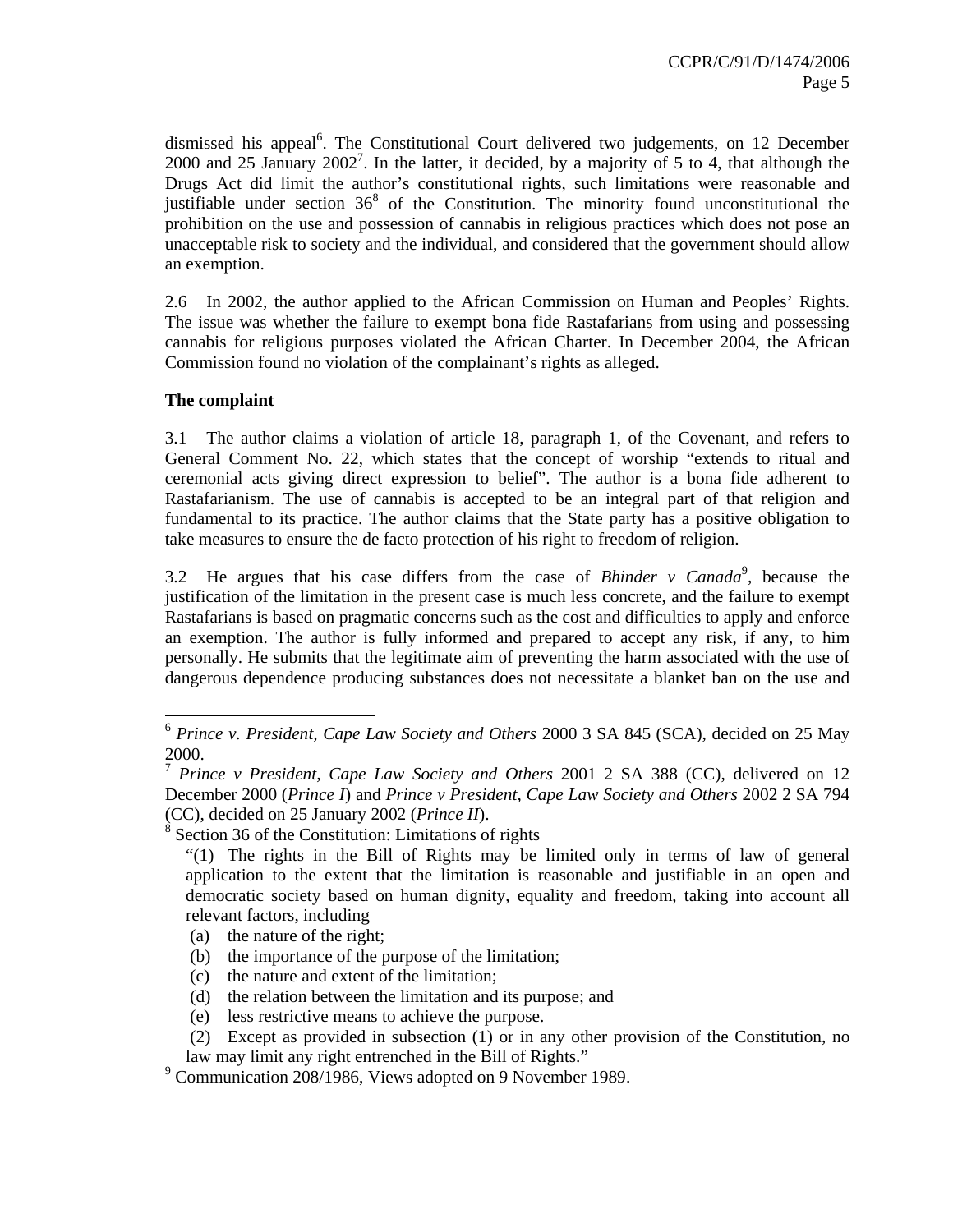dismissed his appeal<sup>6</sup>. The Constitutional Court delivered two judgements, on 12 December 2000 and 25 January 2002<sup>7</sup>. In the latter, it decided, by a majority of 5 to 4, that although the Drugs Act did limit the author's constitutional rights, such limitations were reasonable and justifiable under section  $36<sup>8</sup>$  of the Constitution. The minority found unconstitutional the prohibition on the use and possession of cannabis in religious practices which does not pose an unacceptable risk to society and the individual, and considered that the government should allow an exemption.

2.6 In 2002, the author applied to the African Commission on Human and Peoples' Rights. The issue was whether the failure to exempt bona fide Rastafarians from using and possessing cannabis for religious purposes violated the African Charter. In December 2004, the African Commission found no violation of the complainant's rights as alleged.

#### **The complaint**

 $\overline{a}$ 

3.1 The author claims a violation of article 18, paragraph 1, of the Covenant, and refers to General Comment No. 22, which states that the concept of worship "extends to ritual and ceremonial acts giving direct expression to belief". The author is a bona fide adherent to Rastafarianism. The use of cannabis is accepted to be an integral part of that religion and fundamental to its practice. The author claims that the State party has a positive obligation to take measures to ensure the de facto protection of his right to freedom of religion.

3.2 He argues that his case differs from the case of *Bhinder v Canada*<sup>9</sup>, because the justification of the limitation in the present case is much less concrete, and the failure to exempt Rastafarians is based on pragmatic concerns such as the cost and difficulties to apply and enforce an exemption. The author is fully informed and prepared to accept any risk, if any, to him personally. He submits that the legitimate aim of preventing the harm associated with the use of dangerous dependence producing substances does not necessitate a blanket ban on the use and

- (a) the nature of the right;
- (b) the importance of the purpose of the limitation;
- (c) the nature and extent of the limitation;
- (d) the relation between the limitation and its purpose; and
- (e) less restrictive means to achieve the purpose.
- (2) Except as provided in subsection (1) or in any other provision of the Constitution, no law may limit any right entrenched in the Bill of Rights."
- <sup>9</sup> Communication 208/1986, Views adopted on 9 November 1989.

<sup>6</sup> *Prince v. President, Cape Law Society and Others* 2000 3 SA 845 (SCA), decided on 25 May 2000.

<sup>7</sup> *Prince v President, Cape Law Society and Others* 2001 2 SA 388 (CC), delivered on 12 December 2000 (*Prince I*) and *Prince v President, Cape Law Society and Others* 2002 2 SA 794 (CC), decided on 25 January 2002 (*Prince II*).

 $8$  Section 36 of the Constitution: Limitations of rights

<sup>&</sup>quot;(1) The rights in the Bill of Rights may be limited only in terms of law of general application to the extent that the limitation is reasonable and justifiable in an open and democratic society based on human dignity, equality and freedom, taking into account all relevant factors, including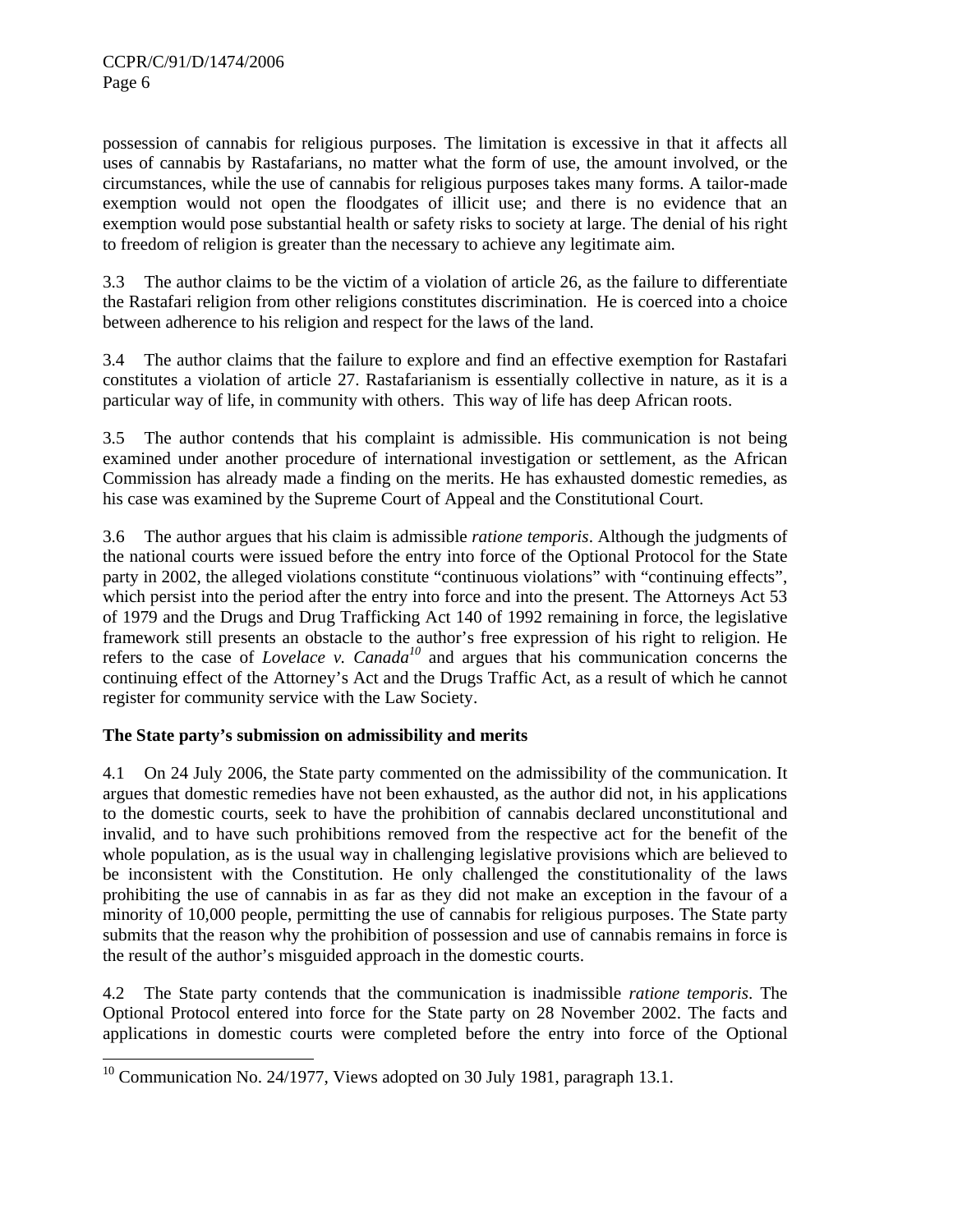possession of cannabis for religious purposes. The limitation is excessive in that it affects all uses of cannabis by Rastafarians, no matter what the form of use, the amount involved, or the circumstances, while the use of cannabis for religious purposes takes many forms. A tailor-made exemption would not open the floodgates of illicit use; and there is no evidence that an exemption would pose substantial health or safety risks to society at large. The denial of his right to freedom of religion is greater than the necessary to achieve any legitimate aim.

3.3 The author claims to be the victim of a violation of article 26, as the failure to differentiate the Rastafari religion from other religions constitutes discrimination. He is coerced into a choice between adherence to his religion and respect for the laws of the land.

3.4 The author claims that the failure to explore and find an effective exemption for Rastafari constitutes a violation of article 27. Rastafarianism is essentially collective in nature, as it is a particular way of life, in community with others. This way of life has deep African roots.

3.5 The author contends that his complaint is admissible. His communication is not being examined under another procedure of international investigation or settlement, as the African Commission has already made a finding on the merits. He has exhausted domestic remedies, as his case was examined by the Supreme Court of Appeal and the Constitutional Court.

3.6 The author argues that his claim is admissible *ratione temporis*. Although the judgments of the national courts were issued before the entry into force of the Optional Protocol for the State party in 2002, the alleged violations constitute "continuous violations" with "continuing effects", which persist into the period after the entry into force and into the present. The Attorneys Act 53 of 1979 and the Drugs and Drug Trafficking Act 140 of 1992 remaining in force, the legislative framework still presents an obstacle to the author's free expression of his right to religion. He refers to the case of *Lovelace v. Canada<sup>10</sup>* and argues that his communication concerns the continuing effect of the Attorney's Act and the Drugs Traffic Act, as a result of which he cannot register for community service with the Law Society.

## **The State party's submission on admissibility and merits**

4.1 On 24 July 2006, the State party commented on the admissibility of the communication. It argues that domestic remedies have not been exhausted, as the author did not, in his applications to the domestic courts, seek to have the prohibition of cannabis declared unconstitutional and invalid, and to have such prohibitions removed from the respective act for the benefit of the whole population, as is the usual way in challenging legislative provisions which are believed to be inconsistent with the Constitution. He only challenged the constitutionality of the laws prohibiting the use of cannabis in as far as they did not make an exception in the favour of a minority of 10,000 people, permitting the use of cannabis for religious purposes. The State party submits that the reason why the prohibition of possession and use of cannabis remains in force is the result of the author's misguided approach in the domestic courts.

4.2 The State party contends that the communication is inadmissible *ratione temporis*. The Optional Protocol entered into force for the State party on 28 November 2002. The facts and applications in domestic courts were completed before the entry into force of the Optional

 $\overline{\phantom{a}}$ <sup>10</sup> Communication No. 24/1977, Views adopted on 30 July 1981, paragraph 13.1.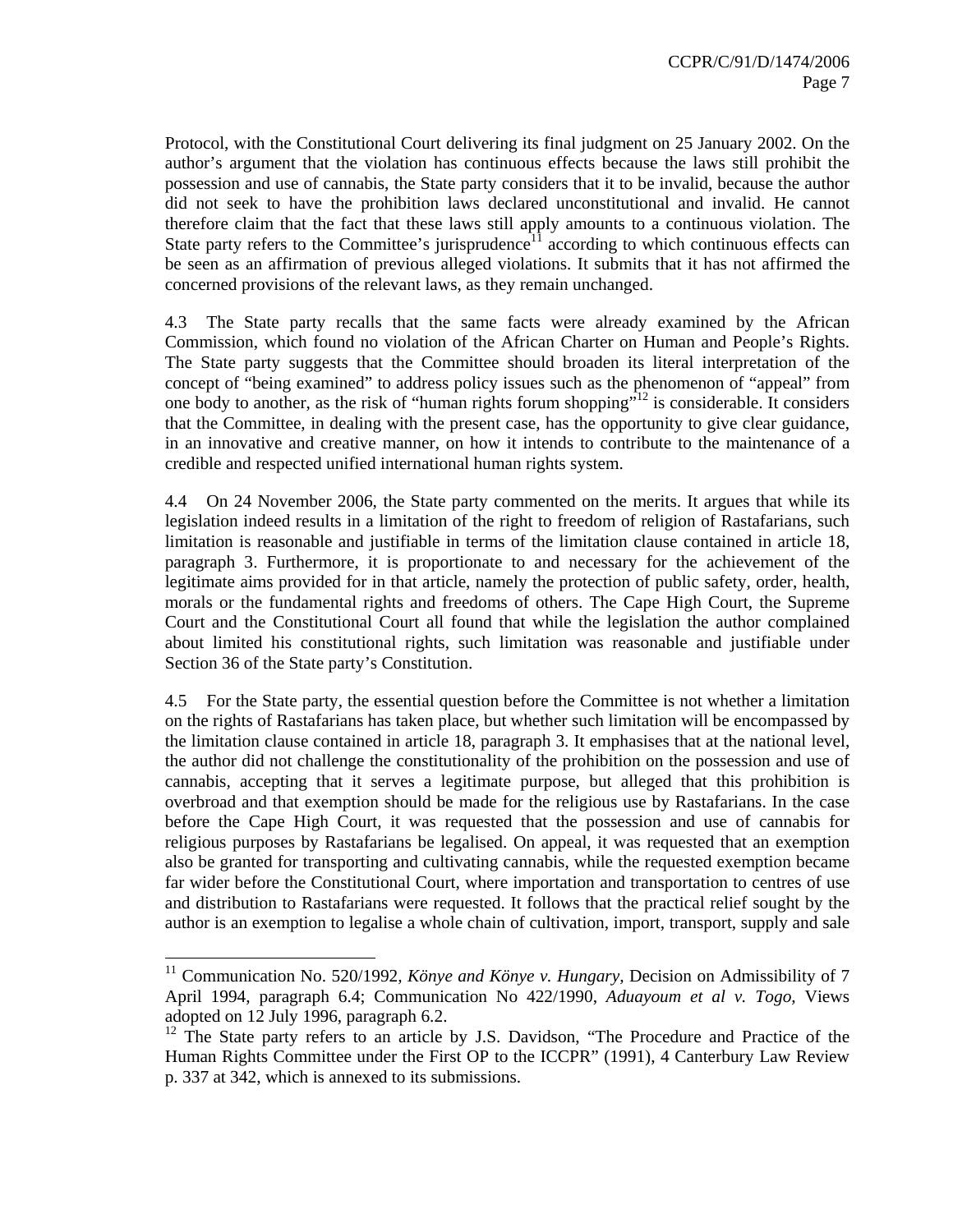Protocol, with the Constitutional Court delivering its final judgment on 25 January 2002. On the author's argument that the violation has continuous effects because the laws still prohibit the possession and use of cannabis, the State party considers that it to be invalid, because the author did not seek to have the prohibition laws declared unconstitutional and invalid. He cannot therefore claim that the fact that these laws still apply amounts to a continuous violation. The State party refers to the Committee's jurisprudence<sup>11</sup> according to which continuous effects can be seen as an affirmation of previous alleged violations. It submits that it has not affirmed the concerned provisions of the relevant laws, as they remain unchanged.

4.3 The State party recalls that the same facts were already examined by the African Commission, which found no violation of the African Charter on Human and People's Rights. The State party suggests that the Committee should broaden its literal interpretation of the concept of "being examined" to address policy issues such as the phenomenon of "appeal" from one body to another, as the risk of "human rights forum shopping"<sup>12</sup> is considerable. It considers that the Committee, in dealing with the present case, has the opportunity to give clear guidance, in an innovative and creative manner, on how it intends to contribute to the maintenance of a credible and respected unified international human rights system.

4.4 On 24 November 2006, the State party commented on the merits. It argues that while its legislation indeed results in a limitation of the right to freedom of religion of Rastafarians, such limitation is reasonable and justifiable in terms of the limitation clause contained in article 18, paragraph 3. Furthermore, it is proportionate to and necessary for the achievement of the legitimate aims provided for in that article, namely the protection of public safety, order, health, morals or the fundamental rights and freedoms of others. The Cape High Court, the Supreme Court and the Constitutional Court all found that while the legislation the author complained about limited his constitutional rights, such limitation was reasonable and justifiable under Section 36 of the State party's Constitution.

4.5 For the State party, the essential question before the Committee is not whether a limitation on the rights of Rastafarians has taken place, but whether such limitation will be encompassed by the limitation clause contained in article 18, paragraph 3. It emphasises that at the national level, the author did not challenge the constitutionality of the prohibition on the possession and use of cannabis*,* accepting that it serves a legitimate purpose, but alleged that this prohibition is overbroad and that exemption should be made for the religious use by Rastafarians. In the case before the Cape High Court, it was requested that the possession and use of cannabis for religious purposes by Rastafarians be legalised. On appeal, it was requested that an exemption also be granted for transporting and cultivating cannabis, while the requested exemption became far wider before the Constitutional Court, where importation and transportation to centres of use and distribution to Rastafarians were requested. It follows that the practical relief sought by the author is an exemption to legalise a whole chain of cultivation, import, transport, supply and sale

<sup>11</sup> Communication No. 520/1992*, Könye and Könye v. Hungary,* Decision on Admissibility of 7 April 1994, paragraph 6.4; Communication No 422/1990, *Aduayoum et al v. Togo*, Views adopted on 12 July 1996, paragraph 6.2.

 $12$  The State party refers to an article by J.S. Davidson, "The Procedure and Practice of the Human Rights Committee under the First OP to the ICCPR" (1991), 4 Canterbury Law Review p. 337 at 342, which is annexed to its submissions.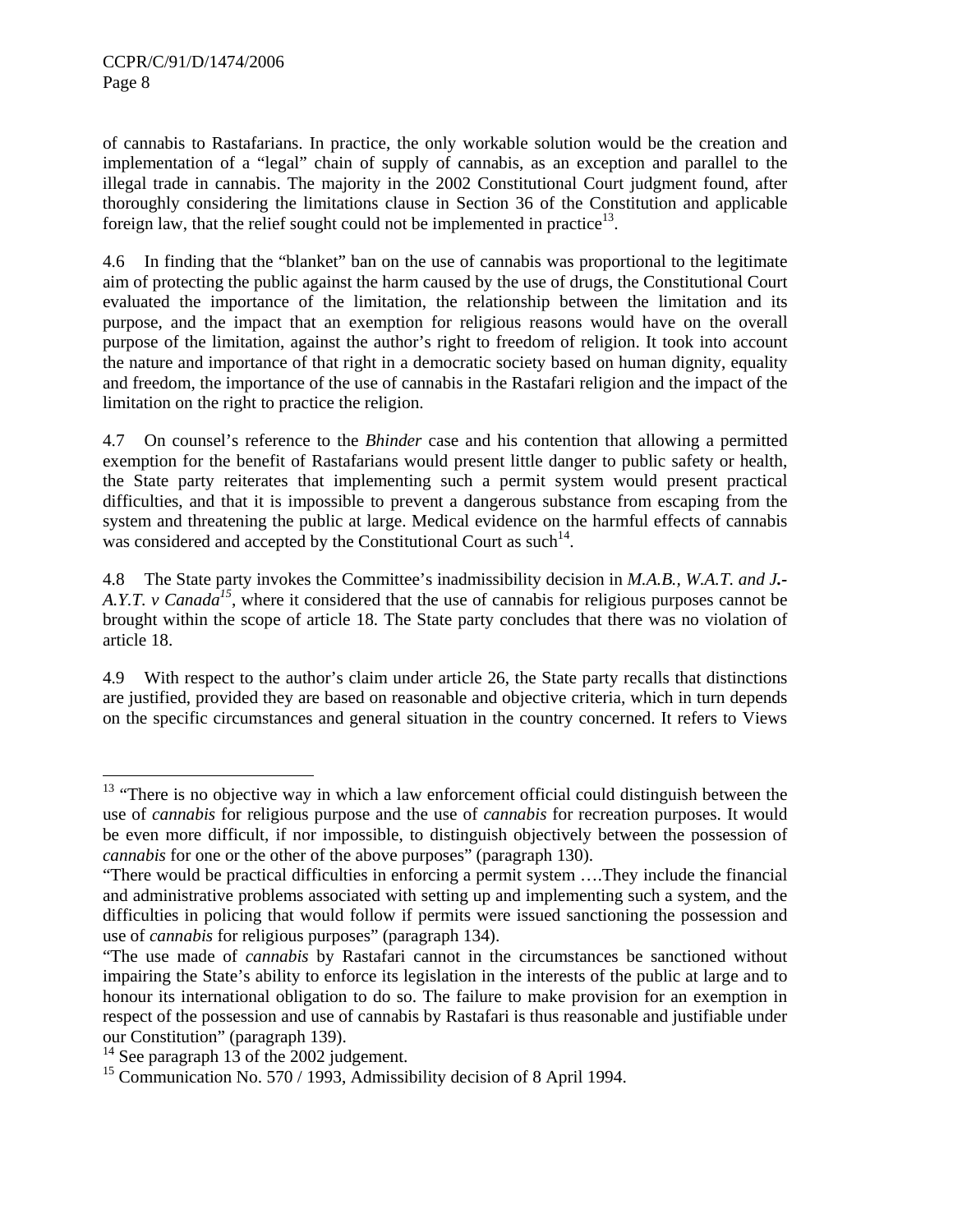of cannabis to Rastafarians. In practice, the only workable solution would be the creation and implementation of a "legal" chain of supply of cannabis, as an exception and parallel to the illegal trade in cannabis. The majority in the 2002 Constitutional Court judgment found, after thoroughly considering the limitations clause in Section 36 of the Constitution and applicable foreign law, that the relief sought could not be implemented in practice<sup>13</sup>.

4.6 In finding that the "blanket" ban on the use of cannabis was proportional to the legitimate aim of protecting the public against the harm caused by the use of drugs, the Constitutional Court evaluated the importance of the limitation, the relationship between the limitation and its purpose, and the impact that an exemption for religious reasons would have on the overall purpose of the limitation, against the author's right to freedom of religion. It took into account the nature and importance of that right in a democratic society based on human dignity, equality and freedom, the importance of the use of cannabis in the Rastafari religion and the impact of the limitation on the right to practice the religion.

4.7 On counsel's reference to the *Bhinder* case and his contention that allowing a permitted exemption for the benefit of Rastafarians would present little danger to public safety or health, the State party reiterates that implementing such a permit system would present practical difficulties, and that it is impossible to prevent a dangerous substance from escaping from the system and threatening the public at large. Medical evidence on the harmful effects of cannabis was considered and accepted by the Constitutional Court as such<sup>14</sup>.

4.8 The State party invokes the Committee's inadmissibility decision in *M.A.B., W.A.T. and J.- A.Y.T. v Canada*<sup>15</sup>, where it considered that the use of cannabis for religious purposes cannot be brought within the scope of article 18. The State party concludes that there was no violation of article 18.

4.9 With respect to the author's claim under article 26, the State party recalls that distinctions are justified, provided they are based on reasonable and objective criteria, which in turn depends on the specific circumstances and general situation in the country concerned. It refers to Views

 $13$  "There is no objective way in which a law enforcement official could distinguish between the use of *cannabis* for religious purpose and the use of *cannabis* for recreation purposes. It would be even more difficult, if nor impossible, to distinguish objectively between the possession of *cannabis* for one or the other of the above purposes" (paragraph 130).

<sup>&</sup>quot;There would be practical difficulties in enforcing a permit system ….They include the financial and administrative problems associated with setting up and implementing such a system, and the difficulties in policing that would follow if permits were issued sanctioning the possession and use of *cannabis* for religious purposes" (paragraph 134).

<sup>&</sup>quot;The use made of *cannabis* by Rastafari cannot in the circumstances be sanctioned without impairing the State's ability to enforce its legislation in the interests of the public at large and to honour its international obligation to do so. The failure to make provision for an exemption in respect of the possession and use of cannabis by Rastafari is thus reasonable and justifiable under our Constitution" (paragraph 139).

 $14$  See paragraph 13 of the 2002 judgement.

<sup>&</sup>lt;sup>15</sup> Communication No. 570 / 1993, Admissibility decision of 8 April 1994.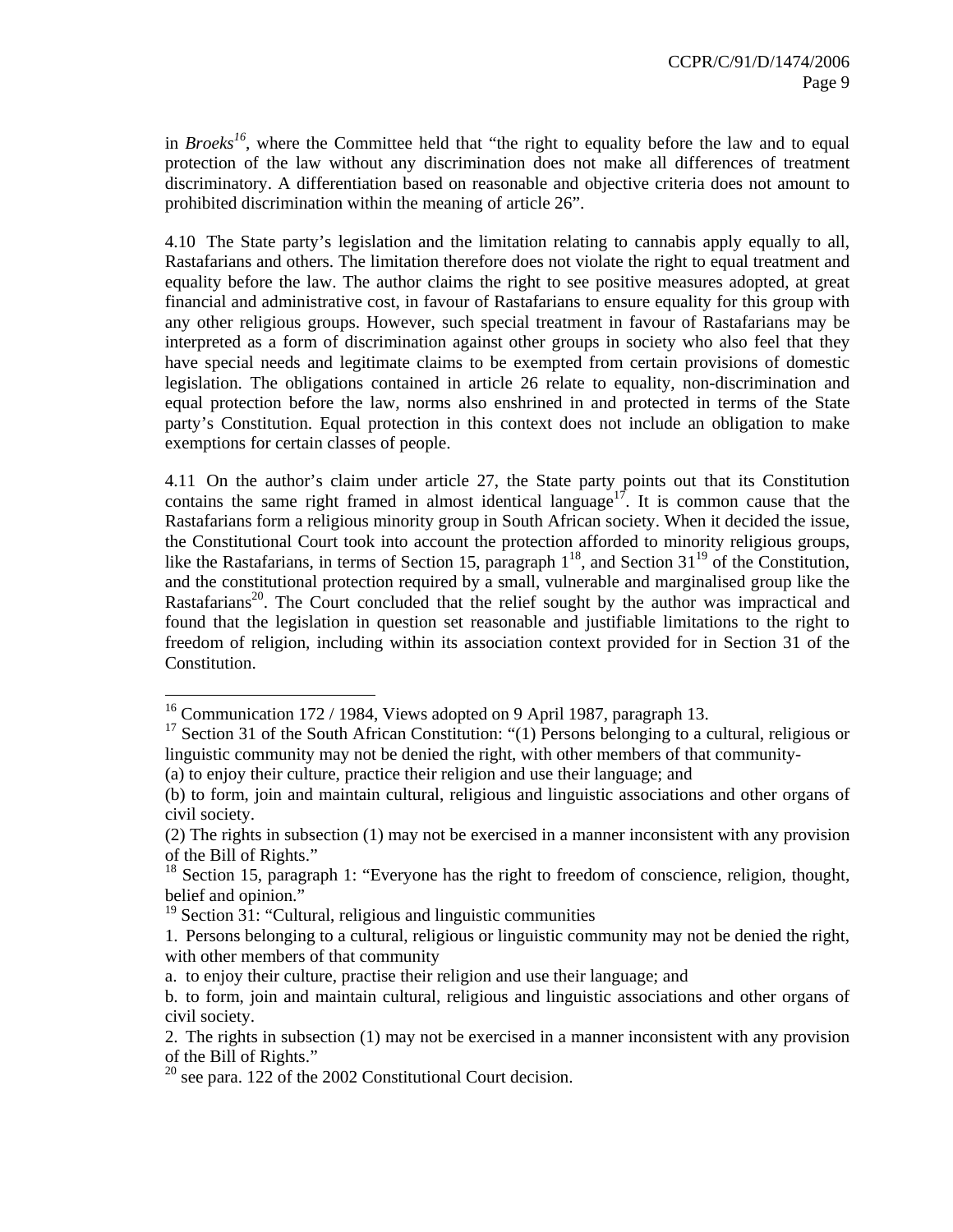in *Broeks<sup>16</sup>*, where the Committee held that "the right to equality before the law and to equal protection of the law without any discrimination does not make all differences of treatment discriminatory. A differentiation based on reasonable and objective criteria does not amount to prohibited discrimination within the meaning of article 26".

4.10 The State party's legislation and the limitation relating to cannabis apply equally to all, Rastafarians and others. The limitation therefore does not violate the right to equal treatment and equality before the law. The author claims the right to see positive measures adopted, at great financial and administrative cost, in favour of Rastafarians to ensure equality for this group with any other religious groups. However, such special treatment in favour of Rastafarians may be interpreted as a form of discrimination against other groups in society who also feel that they have special needs and legitimate claims to be exempted from certain provisions of domestic legislation. The obligations contained in article 26 relate to equality, non-discrimination and equal protection before the law, norms also enshrined in and protected in terms of the State party's Constitution. Equal protection in this context does not include an obligation to make exemptions for certain classes of people.

4.11 On the author's claim under article 27, the State party points out that its Constitution contains the same right framed in almost identical language<sup>17</sup>. It is common cause that the Rastafarians form a religious minority group in South African society. When it decided the issue, the Constitutional Court took into account the protection afforded to minority religious groups, like the Rastafarians, in terms of Section 15, paragraph  $1^{18}$ , and Section 31<sup>19</sup> of the Constitution, and the constitutional protection required by a small, vulnerable and marginalised group like the Rastafarians<sup>20</sup>. The Court concluded that the relief sought by the author was impractical and found that the legislation in question set reasonable and justifiable limitations to the right to freedom of religion, including within its association context provided for in Section 31 of the Constitution.

<sup>&</sup>lt;sup>16</sup> Communication 172 / 1984, Views adopted on 9 April 1987, paragraph 13.

<sup>&</sup>lt;sup>17</sup> Section 31 of the South African Constitution: "(1) Persons belonging to a cultural, religious or linguistic community may not be denied the right, with other members of that community-

<sup>(</sup>a) to enjoy their culture, practice their religion and use their language; and

<sup>(</sup>b) to form, join and maintain cultural, religious and linguistic associations and other organs of civil society.

<sup>(2)</sup> The rights in subsection (1) may not be exercised in a manner inconsistent with any provision of the Bill of Rights."

<sup>&</sup>lt;sup>18</sup> Section 15, paragraph 1: "Everyone has the right to freedom of conscience, religion, thought, belief and opinion."

 $19$  Section 31: "Cultural, religious and linguistic communities

<sup>1.</sup> Persons belonging to a cultural, religious or linguistic community may not be denied the right, with other members of that community

a. to enjoy their culture, practise their religion and use their language; and

b. to form, join and maintain cultural, religious and linguistic associations and other organs of civil society.

<sup>2.</sup> The rights in subsection (1) may not be exercised in a manner inconsistent with any provision of the Bill of Rights."

 $20$  see para. 122 of the 2002 Constitutional Court decision.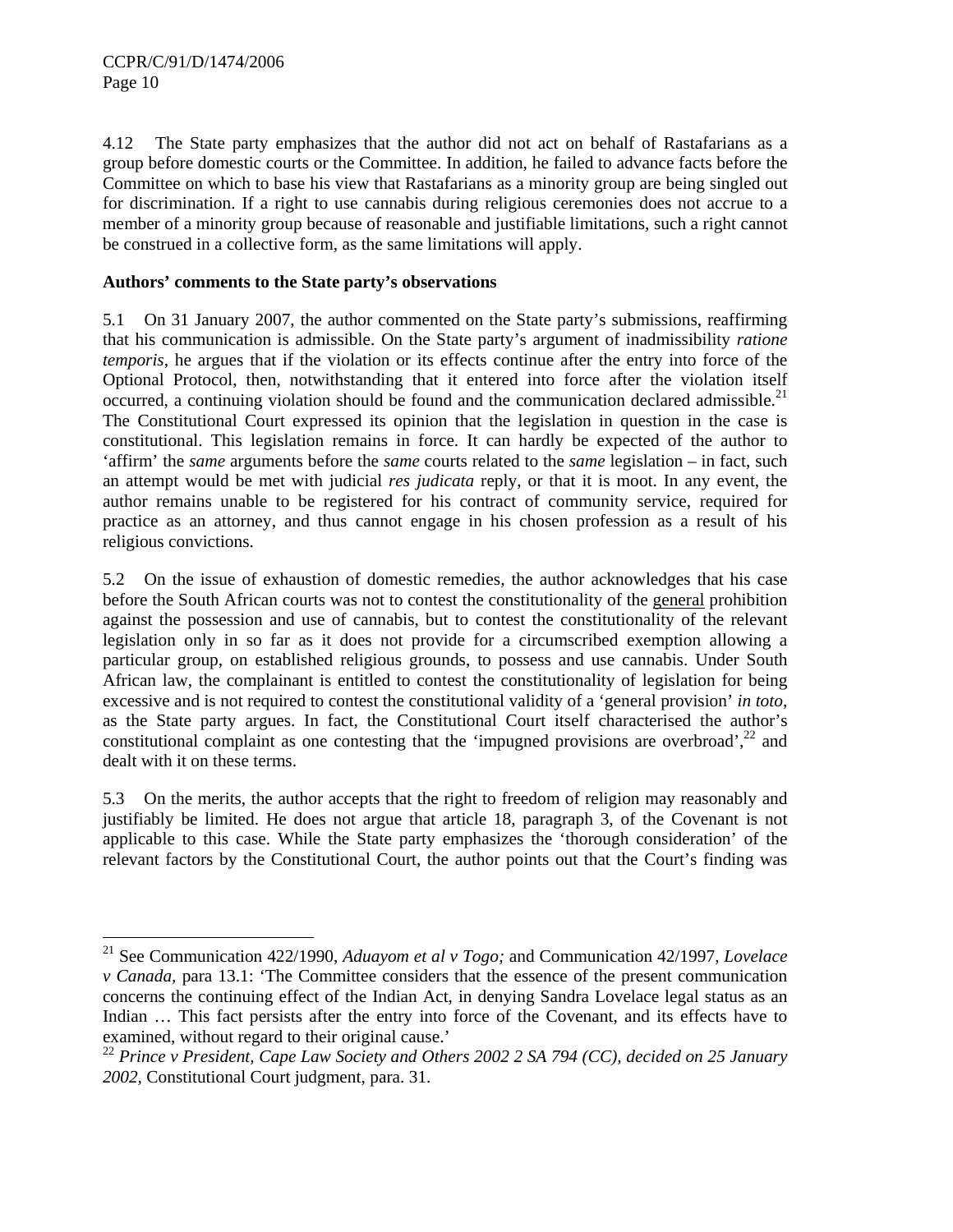$\overline{a}$ 

4.12 The State party emphasizes that the author did not act on behalf of Rastafarians as a group before domestic courts or the Committee. In addition, he failed to advance facts before the Committee on which to base his view that Rastafarians as a minority group are being singled out for discrimination. If a right to use cannabis during religious ceremonies does not accrue to a member of a minority group because of reasonable and justifiable limitations, such a right cannot be construed in a collective form, as the same limitations will apply.

## **Authors' comments to the State party's observations**

5.1 On 31 January 2007, the author commented on the State party's submissions, reaffirming that his communication is admissible. On the State party's argument of inadmissibility *ratione temporis*, he argues that if the violation or its effects continue after the entry into force of the Optional Protocol, then, notwithstanding that it entered into force after the violation itself occurred, a continuing violation should be found and the communication declared admissible.<sup>21</sup> The Constitutional Court expressed its opinion that the legislation in question in the case is constitutional. This legislation remains in force. It can hardly be expected of the author to 'affirm' the *same* arguments before the *same* courts related to the *same* legislation – in fact, such an attempt would be met with judicial *res judicata* reply, or that it is moot. In any event, the author remains unable to be registered for his contract of community service, required for practice as an attorney, and thus cannot engage in his chosen profession as a result of his religious convictions.

5.2 On the issue of exhaustion of domestic remedies, the author acknowledges that his case before the South African courts was not to contest the constitutionality of the general prohibition against the possession and use of cannabis, but to contest the constitutionality of the relevant legislation only in so far as it does not provide for a circumscribed exemption allowing a particular group, on established religious grounds, to possess and use cannabis. Under South African law, the complainant is entitled to contest the constitutionality of legislation for being excessive and is not required to contest the constitutional validity of a 'general provision' *in toto*, as the State party argues. In fact, the Constitutional Court itself characterised the author's constitutional complaint as one contesting that the 'impugned provisions are overbroad', $^{22}$  and dealt with it on these terms.

5.3 On the merits, the author accepts that the right to freedom of religion may reasonably and justifiably be limited. He does not argue that article 18, paragraph 3, of the Covenant is not applicable to this case. While the State party emphasizes the 'thorough consideration' of the relevant factors by the Constitutional Court, the author points out that the Court's finding was

<sup>21</sup> See Communication 422/1990, *Aduayom et al v Togo;* and Communication 42/1997, *Lovelace v Canada,* para 13.1: 'The Committee considers that the essence of the present communication concerns the continuing effect of the Indian Act, in denying Sandra Lovelace legal status as an Indian … This fact persists after the entry into force of the Covenant, and its effects have to examined, without regard to their original cause.'

<sup>22</sup> *Prince v President, Cape Law Society and Others 2002 2 SA 794 (CC), decided on 25 January 2002,* Constitutional Court judgment, para. 31.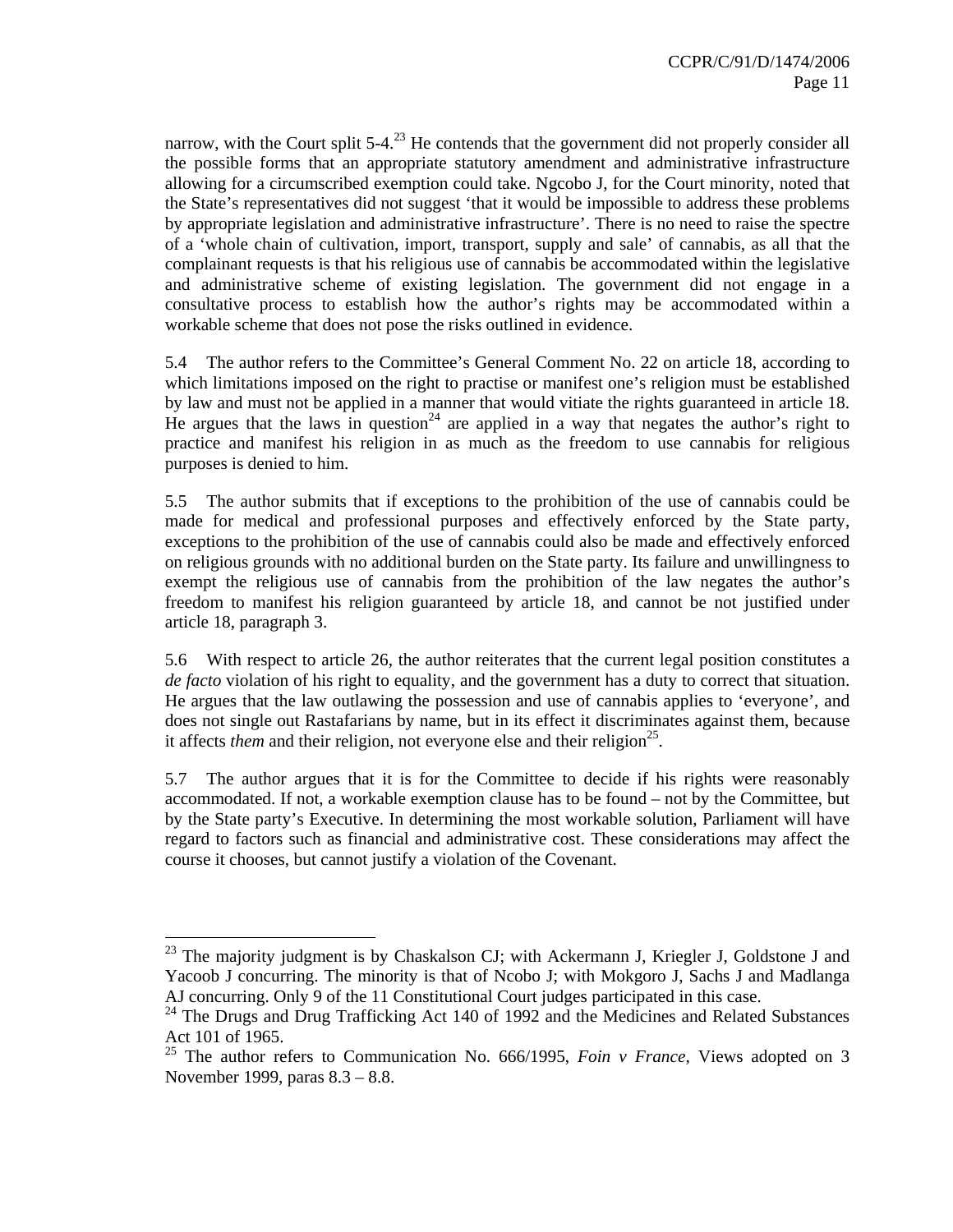narrow, with the Court split  $5-4<sup>23</sup>$  He contends that the government did not properly consider all the possible forms that an appropriate statutory amendment and administrative infrastructure allowing for a circumscribed exemption could take. Ngcobo J, for the Court minority, noted that the State's representatives did not suggest 'that it would be impossible to address these problems by appropriate legislation and administrative infrastructure'. There is no need to raise the spectre of a 'whole chain of cultivation, import, transport, supply and sale' of cannabis, as all that the complainant requests is that his religious use of cannabis be accommodated within the legislative and administrative scheme of existing legislation. The government did not engage in a consultative process to establish how the author's rights may be accommodated within a workable scheme that does not pose the risks outlined in evidence.

5.4 The author refers to the Committee's General Comment No. 22 on article 18, according to which limitations imposed on the right to practise or manifest one's religion must be established by law and must not be applied in a manner that would vitiate the rights guaranteed in article 18. He argues that the laws in question<sup>24</sup> are applied in a way that negates the author's right to practice and manifest his religion in as much as the freedom to use cannabis for religious purposes is denied to him.

5.5 The author submits that if exceptions to the prohibition of the use of cannabis could be made for medical and professional purposes and effectively enforced by the State party, exceptions to the prohibition of the use of cannabis could also be made and effectively enforced on religious grounds with no additional burden on the State party. Its failure and unwillingness to exempt the religious use of cannabis from the prohibition of the law negates the author's freedom to manifest his religion guaranteed by article 18, and cannot be not justified under article 18, paragraph 3.

5.6 With respect to article 26, the author reiterates that the current legal position constitutes a *de facto* violation of his right to equality, and the government has a duty to correct that situation. He argues that the law outlawing the possession and use of cannabis applies to 'everyone', and does not single out Rastafarians by name, but in its effect it discriminates against them, because it affects *them* and their religion, not everyone else and their religion<sup>25</sup>.

5.7 The author argues that it is for the Committee to decide if his rights were reasonably accommodated. If not, a workable exemption clause has to be found – not by the Committee, but by the State party's Executive. In determining the most workable solution, Parliament will have regard to factors such as financial and administrative cost. These considerations may affect the course it chooses, but cannot justify a violation of the Covenant.

 $^{23}$  The majority judgment is by Chaskalson CJ; with Ackermann J, Kriegler J, Goldstone J and Yacoob J concurring. The minority is that of Ncobo J; with Mokgoro J, Sachs J and Madlanga AJ concurring. Only 9 of the 11 Constitutional Court judges participated in this case.

 $24$  The Drugs and Drug Trafficking Act 140 of 1992 and the Medicines and Related Substances Act 101 of 1965.

<sup>&</sup>lt;sup>25</sup> The author refers to Communication No. 666/1995, *Foin v France*, Views adopted on 3 November 1999, paras 8.3 – 8.8.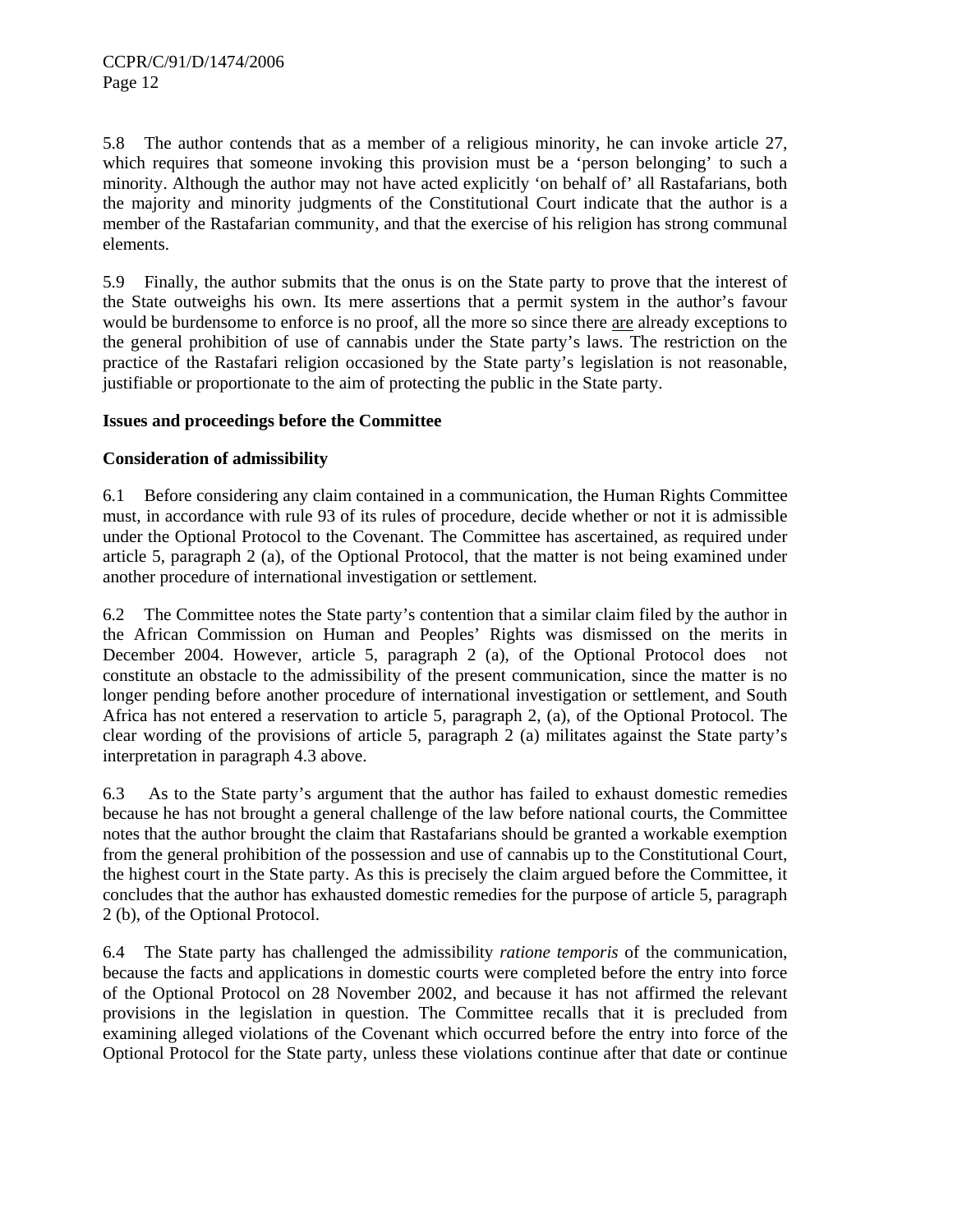5.8 The author contends that as a member of a religious minority, he can invoke article 27, which requires that someone invoking this provision must be a 'person belonging' to such a minority. Although the author may not have acted explicitly 'on behalf of' all Rastafarians, both the majority and minority judgments of the Constitutional Court indicate that the author is a member of the Rastafarian community, and that the exercise of his religion has strong communal elements.

5.9 Finally, the author submits that the onus is on the State party to prove that the interest of the State outweighs his own. Its mere assertions that a permit system in the author's favour would be burdensome to enforce is no proof, all the more so since there are already exceptions to the general prohibition of use of cannabis under the State party's laws. The restriction on the practice of the Rastafari religion occasioned by the State party's legislation is not reasonable, justifiable or proportionate to the aim of protecting the public in the State party.

#### **Issues and proceedings before the Committee**

#### **Consideration of admissibility**

6.1 Before considering any claim contained in a communication, the Human Rights Committee must, in accordance with rule 93 of its rules of procedure, decide whether or not it is admissible under the Optional Protocol to the Covenant. The Committee has ascertained, as required under article 5, paragraph 2 (a), of the Optional Protocol, that the matter is not being examined under another procedure of international investigation or settlement.

6.2 The Committee notes the State party's contention that a similar claim filed by the author in the African Commission on Human and Peoples' Rights was dismissed on the merits in December 2004. However, article 5, paragraph 2 (a), of the Optional Protocol does not constitute an obstacle to the admissibility of the present communication, since the matter is no longer pending before another procedure of international investigation or settlement, and South Africa has not entered a reservation to article 5, paragraph 2, (a), of the Optional Protocol. The clear wording of the provisions of article 5, paragraph 2 (a) militates against the State party's interpretation in paragraph 4.3 above.

6.3 As to the State party's argument that the author has failed to exhaust domestic remedies because he has not brought a general challenge of the law before national courts, the Committee notes that the author brought the claim that Rastafarians should be granted a workable exemption from the general prohibition of the possession and use of cannabis up to the Constitutional Court, the highest court in the State party. As this is precisely the claim argued before the Committee, it concludes that the author has exhausted domestic remedies for the purpose of article 5, paragraph 2 (b), of the Optional Protocol.

6.4 The State party has challenged the admissibility *ratione temporis* of the communication, because the facts and applications in domestic courts were completed before the entry into force of the Optional Protocol on 28 November 2002, and because it has not affirmed the relevant provisions in the legislation in question. The Committee recalls that it is precluded from examining alleged violations of the Covenant which occurred before the entry into force of the Optional Protocol for the State party, unless these violations continue after that date or continue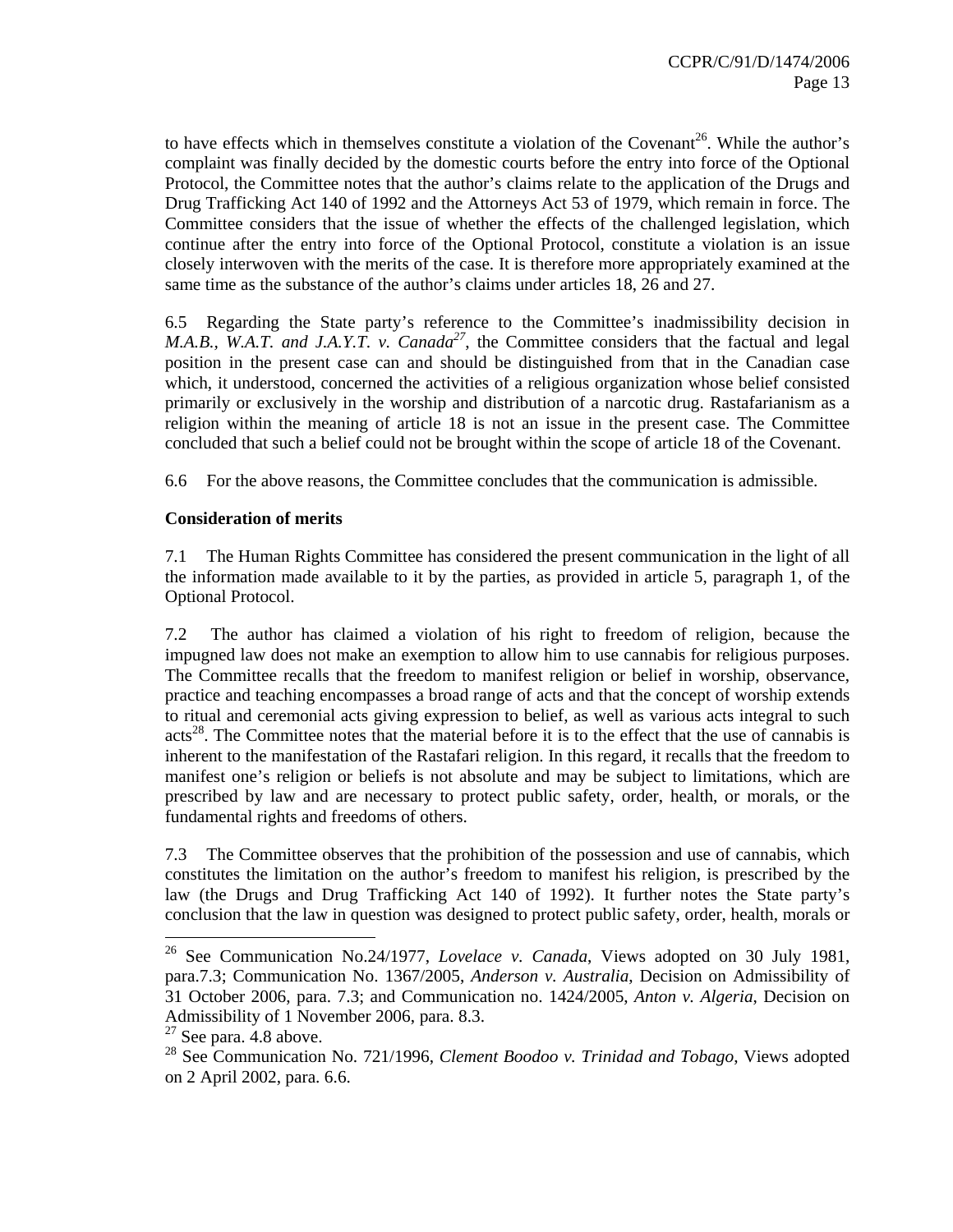to have effects which in themselves constitute a violation of the Covenant<sup>26</sup>. While the author's complaint was finally decided by the domestic courts before the entry into force of the Optional Protocol, the Committee notes that the author's claims relate to the application of the Drugs and Drug Trafficking Act 140 of 1992 and the Attorneys Act 53 of 1979, which remain in force. The Committee considers that the issue of whether the effects of the challenged legislation, which continue after the entry into force of the Optional Protocol, constitute a violation is an issue closely interwoven with the merits of the case. It is therefore more appropriately examined at the same time as the substance of the author's claims under articles 18, 26 and 27.

6.5 Regarding the State party's reference to the Committee's inadmissibility decision in *M.A.B., W.A.T. and J.A.Y.T. v. Canada*<sup>27</sup>, the Committee considers that the factual and legal position in the present case can and should be distinguished from that in the Canadian case which, it understood, concerned the activities of a religious organization whose belief consisted primarily or exclusively in the worship and distribution of a narcotic drug. Rastafarianism as a religion within the meaning of article 18 is not an issue in the present case. The Committee concluded that such a belief could not be brought within the scope of article 18 of the Covenant.

6.6 For the above reasons, the Committee concludes that the communication is admissible.

#### **Consideration of merits**

7.1 The Human Rights Committee has considered the present communication in the light of all the information made available to it by the parties, as provided in article 5, paragraph 1, of the Optional Protocol.

7.2 The author has claimed a violation of his right to freedom of religion, because the impugned law does not make an exemption to allow him to use cannabis for religious purposes. The Committee recalls that the freedom to manifest religion or belief in worship, observance, practice and teaching encompasses a broad range of acts and that the concept of worship extends to ritual and ceremonial acts giving expression to belief, as well as various acts integral to such  $\arccos^{28}$ . The Committee notes that the material before it is to the effect that the use of cannabis is inherent to the manifestation of the Rastafari religion. In this regard, it recalls that the freedom to manifest one's religion or beliefs is not absolute and may be subject to limitations, which are prescribed by law and are necessary to protect public safety, order, health, or morals, or the fundamental rights and freedoms of others.

7.3 The Committee observes that the prohibition of the possession and use of cannabis, which constitutes the limitation on the author's freedom to manifest his religion, is prescribed by the law (the Drugs and Drug Trafficking Act 140 of 1992). It further notes the State party's conclusion that the law in question was designed to protect public safety, order, health, morals or

<sup>26</sup> See Communication No.24/1977, *Lovelace v. Canada*, Views adopted on 30 July 1981, para.7.3; Communication No. 1367/2005, *Anderson v. Australia*, Decision on Admissibility of 31 October 2006, para. 7.3; and Communication no. 1424/2005, *Anton v. Algeria*, Decision on Admissibility of 1 November 2006, para. 8.3.

 $27$  See para. 4.8 above.

<sup>28</sup> See Communication No. 721/1996, *Clement Boodoo v. Trinidad and Tobago*, Views adopted on 2 April 2002, para. 6.6.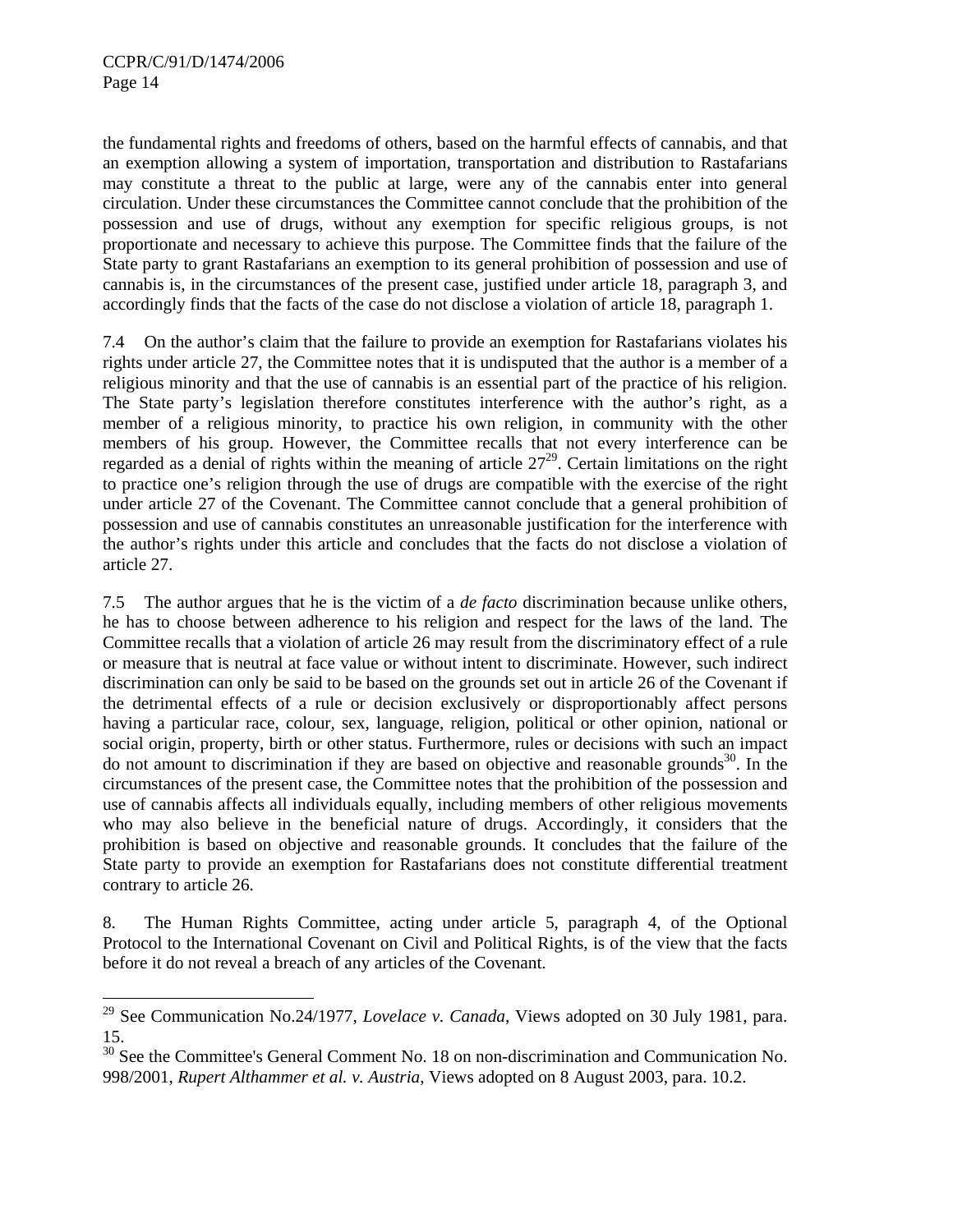l

the fundamental rights and freedoms of others, based on the harmful effects of cannabis, and that an exemption allowing a system of importation, transportation and distribution to Rastafarians may constitute a threat to the public at large, were any of the cannabis enter into general circulation. Under these circumstances the Committee cannot conclude that the prohibition of the possession and use of drugs, without any exemption for specific religious groups, is not proportionate and necessary to achieve this purpose. The Committee finds that the failure of the State party to grant Rastafarians an exemption to its general prohibition of possession and use of cannabis is, in the circumstances of the present case, justified under article 18, paragraph 3, and accordingly finds that the facts of the case do not disclose a violation of article 18, paragraph 1.

7.4 On the author's claim that the failure to provide an exemption for Rastafarians violates his rights under article 27, the Committee notes that it is undisputed that the author is a member of a religious minority and that the use of cannabis is an essential part of the practice of his religion. The State party's legislation therefore constitutes interference with the author's right, as a member of a religious minority, to practice his own religion, in community with the other members of his group. However, the Committee recalls that not every interference can be regarded as a denial of rights within the meaning of article  $27<sup>29</sup>$ . Certain limitations on the right to practice one's religion through the use of drugs are compatible with the exercise of the right under article 27 of the Covenant. The Committee cannot conclude that a general prohibition of possession and use of cannabis constitutes an unreasonable justification for the interference with the author's rights under this article and concludes that the facts do not disclose a violation of article 27.

7.5 The author argues that he is the victim of a *de facto* discrimination because unlike others, he has to choose between adherence to his religion and respect for the laws of the land. The Committee recalls that a violation of article 26 may result from the discriminatory effect of a rule or measure that is neutral at face value or without intent to discriminate. However, such indirect discrimination can only be said to be based on the grounds set out in article 26 of the Covenant if the detrimental effects of a rule or decision exclusively or disproportionably affect persons having a particular race, colour, sex, language, religion, political or other opinion, national or social origin, property, birth or other status. Furthermore, rules or decisions with such an impact do not amount to discrimination if they are based on objective and reasonable grounds<sup>30</sup>. In the circumstances of the present case, the Committee notes that the prohibition of the possession and use of cannabis affects all individuals equally, including members of other religious movements who may also believe in the beneficial nature of drugs. Accordingly, it considers that the prohibition is based on objective and reasonable grounds. It concludes that the failure of the State party to provide an exemption for Rastafarians does not constitute differential treatment contrary to article 26.

8. The Human Rights Committee, acting under article 5, paragraph 4, of the Optional Protocol to the International Covenant on Civil and Political Rights, is of the view that the facts before it do not reveal a breach of any articles of the Covenant.

<sup>29</sup> See Communication No.24/1977, *Lovelace v. Canada*, Views adopted on 30 July 1981, para. 15.

 $30$  See the Committee's General Comment No. 18 on non-discrimination and Communication No. 998/2001, *Rupert Althammer et al. v. Austria*, Views adopted on 8 August 2003, para. 10.2.